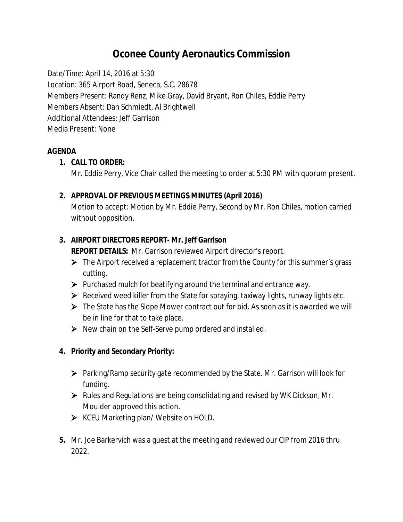# **Oconee County Aeronautics Commission**

Date/Time: April 14, 2016 at 5:30 Location: 365 Airport Road, Seneca, S.C. 28678 Members Present: Randy Renz, Mike Gray, David Bryant, Ron Chiles, Eddie Perry Members Absent: Dan Schmiedt, Al Brightwell Additional Attendees: Jeff Garrison Media Present: None

## **AGENDA**

## **1. CALL TO ORDER:**

Mr. Eddie Perry, Vice Chair called the meeting to order at 5:30 PM with quorum present.

## **2. APPROVAL OF PREVIOUS MEETINGS MINUTES (April 2016)**

Motion to accept: Motion by Mr. Eddie Perry, Second by Mr. Ron Chiles, motion carried without opposition.

# **3. AIRPORT DIRECTORS REPORT- Mr. Jeff Garrison**

**REPORT DETAILS:** Mr. Garrison reviewed Airport director's report.

- $\triangleright$  The Airport received a replacement tractor from the County for this summer's grass cutting.
- $\triangleright$  Purchased mulch for beatifying around the terminal and entrance way.
- $\triangleright$  Received weed killer from the State for spraying, taxiway lights, runway lights etc.
- The State has the Slope Mower contract out for bid. As soon as it is awarded we will be in line for that to take place.
- $\triangleright$  New chain on the Self-Serve pump ordered and installed.

# **4. Priority and Secondary Priority:**

- Parking/Ramp security gate recommended by the State. Mr. Garrison will look for funding.
- Rules and Regulations are being consolidating and revised by WK Dickson, Mr. Moulder approved this action.
- ▶ KCEU Marketing plan/ Website on HOLD.
- **5.** Mr. Joe Barkervich was a guest at the meeting and reviewed our CIP from 2016 thru 2022.